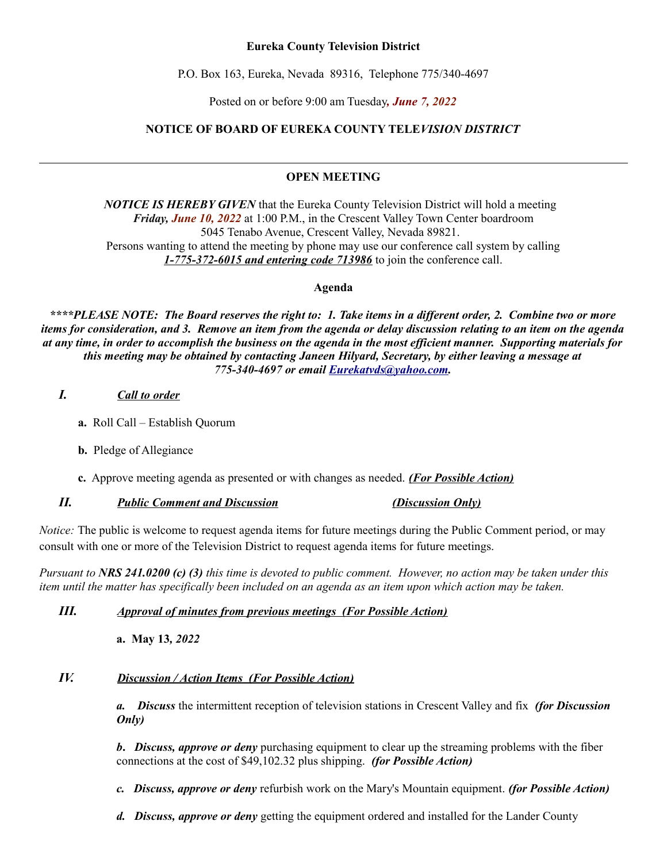### **Eureka County Television District**

P.O. Box 163, Eureka, Nevada 89316, Telephone 775/340-4697

Posted on or before 9:00 am Tuesday*, June 7, 2022*

## **NOTICE OF BOARD OF EUREKA COUNTY TELE***VISION DISTRICT*

## **OPEN MEETING**

*NOTICE IS HEREBY GIVEN* that the Eureka County Television District will hold a meeting *Friday, June 10, 2022* at 1:00 P.M., in the Crescent Valley Town Center boardroom 5045 Tenabo Avenue, Crescent Valley, Nevada 89821. Persons wanting to attend the meeting by phone may use our conference call system by calling *1-775-372-6015 and entering code 713986* to join the conference call.

**Agenda**

*\*\*\*\*PLEASE NOTE: The Board reserves the right to: 1. Take items in a different order, 2. Combine two or more items for consideration, and 3. Remove an item from the agenda or delay discussion relating to an item on the agenda at any time, in order to accomplish the business on the agenda in the most efficient manner. Supporting materials for this meeting may be obtained by contacting Janeen Hilyard, Secretary, by either leaving a message at 775-340-4697 or email [Eurekatvds@yahoo.com.](mailto:Eurekatvds@yahoo.com)*

### *I. Call to order*

- **a.** Roll Call Establish Quorum
- **b.** Pledge of Allegiance
- **c.** Approve meeting agenda as presented or with changes as needed. *(For Possible Action)*

### *II. Public Comment and Discussion (Discussion Only)*

*Notice:* The public is welcome to request agenda items for future meetings during the Public Comment period, or may consult with one or more of the Television District to request agenda items for future meetings.

*Pursuant to NRS 241.0200 (c) (3) this time is devoted to public comment. However, no action may be taken under this item until the matter has specifically been included on an agenda as an item upon which action may be taken.* 

### *III. Approval of minutes from previous meetings (For Possible Action)*

**a. May 13***, 2022*

# *IV. Discussion / Action Items (For Possible Action)*

*a. Discuss* the intermittent reception of television stations in Crescent Valley and fix *(for Discussion Only)*

*b***.** *Discuss, approve or deny* purchasing equipment to clear up the streaming problems with the fiber connections at the cost of \$49,102.32 plus shipping. *(for Possible Action)*

*c. Discuss, approve or deny* refurbish work on the Mary's Mountain equipment. *(for Possible Action)*

*d. Discuss, approve or deny* getting the equipment ordered and installed for the Lander County